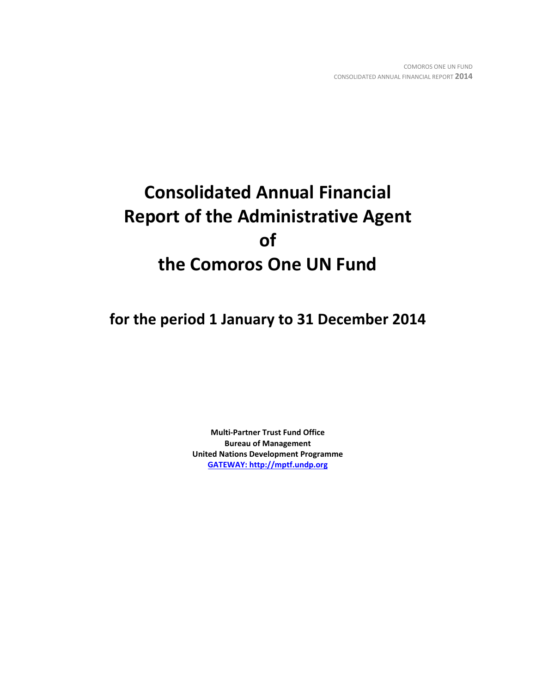# **Consolidated Annual Financial Report of the Administrative Agent of the Comoros One UN Fund**

**for the period 1 January to 31 December 2014**

**Multi-Partner Trust Fund Office Bureau of Management United Nations Development Programme [GATEWAY: http://mptf.undp.org](http://mptf.undp.org/)**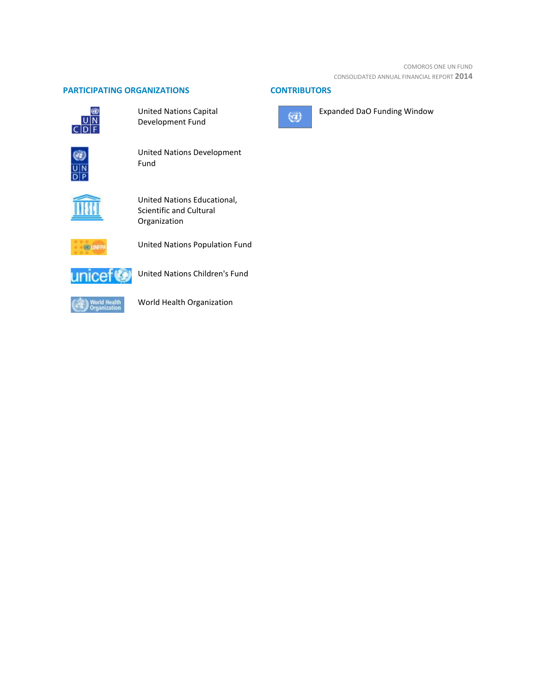## **PARTICIPATING ORGANIZATIONS CONTRIBUTORS**



United Nations Capital Development Fund



United Nations Development Fund



United Nations Educational, Scientific and Cultural Organization



United Nations Population Fund



United Nations Children's Fund



World Health Organization



Expanded DaO Funding Window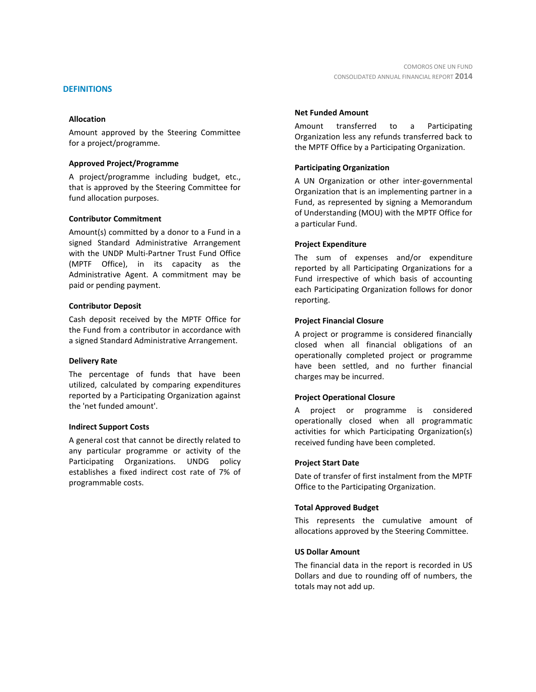#### **DEFINITIONS**

#### **Allocation**

Amount approved by the Steering Committee for a project/programme.

#### **Approved Project/Programme**

A project/programme including budget, etc., that is approved by the Steering Committee for fund allocation purposes.

#### **Contributor Commitment**

Amount(s) committed by a donor to a Fund in a signed Standard Administrative Arrangement with the UNDP Multi-Partner Trust Fund Office (MPTF Office), in its capacity as the Administrative Agent. A commitment may be paid or pending payment.

#### **Contributor Deposit**

Cash deposit received by the MPTF Office for the Fund from a contributor in accordance with a signed Standard Administrative Arrangement.

#### **Delivery Rate**

The percentage of funds that have been utilized, calculated by comparing expenditures reported by a Participating Organization against the 'net funded amount'.

#### **Indirect Support Costs**

A general cost that cannot be directly related to any particular programme or activity of the Participating Organizations. UNDG policy establishes a fixed indirect cost rate of 7% of programmable costs.

#### **Net Funded Amount**

Amount transferred to a Participating Organization less any refunds transferred back to the MPTF Office by a Participating Organization.

#### **Participating Organization**

A UN Organization or other inter-governmental Organization that is an implementing partner in a Fund, as represented by signing a Memorandum of Understanding (MOU) with the MPTF Office for a particular Fund.

#### **Project Expenditure**

The sum of expenses and/or expenditure reported by all Participating Organizations for a Fund irrespective of which basis of accounting each Participating Organization follows for donor reporting.

#### **Project Financial Closure**

A project or programme is considered financially closed when all financial obligations of an operationally completed project or programme have been settled, and no further financial charges may be incurred.

#### **Project Operational Closure**

A project or programme is considered operationally closed when all programmatic activities for which Participating Organization(s) received funding have been completed.

#### **Project Start Date**

Date of transfer of first instalment from the MPTF Office to the Participating Organization.

#### **Total Approved Budget**

This represents the cumulative amount of allocations approved by the Steering Committee.

#### **US Dollar Amount**

The financial data in the report is recorded in US Dollars and due to rounding off of numbers, the totals may not add up.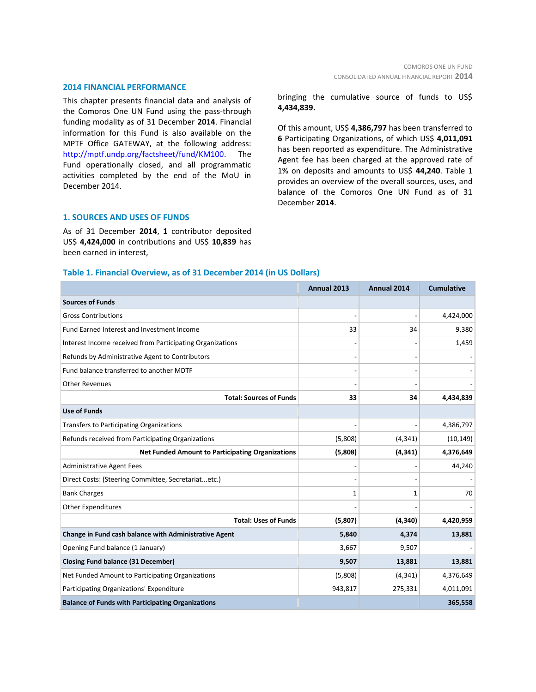#### **2014 FINANCIAL PERFORMANCE**

This chapter presents financial data and analysis of the Comoros One UN Fund using the pass-through funding modality as of 31 December **2014**. Financial information for this Fund is also available on the MPTF Office GATEWAY, at the following address: [http://mptf.undp.org/factsheet/fund/KM100.](http://mptf.undp.org/factsheet/fund/KM100) The Fund operationally closed, and all programmatic activities completed by the end of the MoU in December 2014.

bringing the cumulative source of funds to US\$ **4,434,839.**

Of this amount, US\$ **4,386,797** has been transferred to **6** Participating Organizations, of which US\$ **4,011,091** has been reported as expenditure. The Administrative Agent fee has been charged at the approved rate of 1% on deposits and amounts to US\$ **44,240**. Table 1 provides an overview of the overall sources, uses, and balance of the Comoros One UN Fund as of 31 December **2014**.

#### **1. SOURCES AND USES OF FUNDS**

As of 31 December **2014**, **1** contributor deposited US\$ **4,424,000** in contributions and US\$ **10,839** has been earned in interest,

#### **Table 1. Financial Overview, as of 31 December 2014 (in US Dollars)**

|                                                           | Annual 2013 | <b>Annual 2014</b> | <b>Cumulative</b> |
|-----------------------------------------------------------|-------------|--------------------|-------------------|
| <b>Sources of Funds</b>                                   |             |                    |                   |
| <b>Gross Contributions</b>                                |             |                    | 4,424,000         |
| Fund Earned Interest and Investment Income                | 33          | 34                 | 9,380             |
| Interest Income received from Participating Organizations |             |                    | 1,459             |
| Refunds by Administrative Agent to Contributors           |             |                    |                   |
| Fund balance transferred to another MDTF                  |             |                    |                   |
| <b>Other Revenues</b>                                     |             |                    |                   |
| <b>Total: Sources of Funds</b>                            | 33          | 34                 | 4,434,839         |
| <b>Use of Funds</b>                                       |             |                    |                   |
| Transfers to Participating Organizations                  |             |                    | 4,386,797         |
| Refunds received from Participating Organizations         | (5,808)     | (4, 341)           | (10, 149)         |
| <b>Net Funded Amount to Participating Organizations</b>   | (5,808)     | (4, 341)           | 4,376,649         |
| <b>Administrative Agent Fees</b>                          |             |                    | 44,240            |
| Direct Costs: (Steering Committee, Secretariatetc.)       |             |                    |                   |
| <b>Bank Charges</b>                                       | 1           | 1                  | 70                |
| <b>Other Expenditures</b>                                 |             |                    |                   |
| <b>Total: Uses of Funds</b>                               | (5,807)     | (4, 340)           | 4,420,959         |
| Change in Fund cash balance with Administrative Agent     | 5,840       | 4,374              | 13,881            |
| Opening Fund balance (1 January)                          | 3,667       | 9,507              |                   |
| <b>Closing Fund balance (31 December)</b>                 | 9,507       | 13,881             | 13,881            |
| Net Funded Amount to Participating Organizations          | (5,808)     | (4, 341)           | 4,376,649         |
| Participating Organizations' Expenditure                  | 943,817     | 275,331            | 4,011,091         |
| <b>Balance of Funds with Participating Organizations</b>  |             |                    | 365,558           |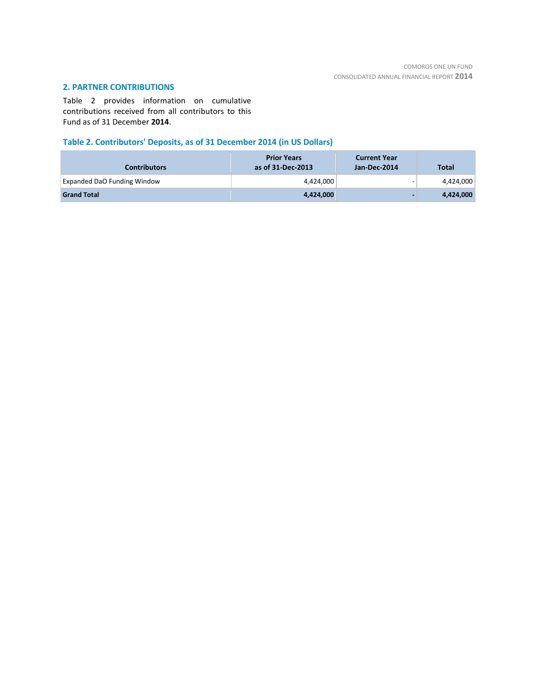# **2. PARTNER CONTRIBUTIONS**

Table 2 provides information on cumulative contributions received from all contributors to this Fund as of 31 December **2014**.

# **Table 2. Contributors' Deposits, as of 31 December 2014 (in US Dollars)**

| <b>Contributors</b>                | <b>Prior Years</b><br>as of 31-Dec-2013 | <b>Current Year</b><br>Jan-Dec-2014 | <b>Total</b> |
|------------------------------------|-----------------------------------------|-------------------------------------|--------------|
| <b>Expanded DaO Funding Window</b> | 4,424,000                               |                                     | 4,424,000    |
| <b>Grand Total</b>                 | 4,424,000                               |                                     | 4,424,000    |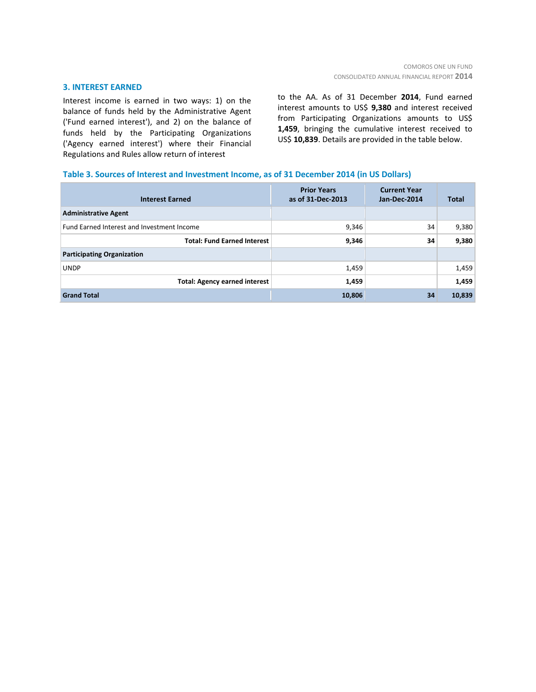#### **3. INTEREST EARNED**

Interest income is earned in two ways: 1) on the balance of funds held by the Administrative Agent ('Fund earned interest'), and 2) on the balance of funds held by the Participating Organizations ('Agency earned interest') where their Financial Regulations and Rules allow return of interest

to the AA. As of 31 December **2014**, Fund earned interest amounts to US\$ **9,380** and interest received from Participating Organizations amounts to US\$ **1,459**, bringing the cumulative interest received to US\$ **10,839**. Details are provided in the table below.

#### **Table 3. Sources of Interest and Investment Income, as of 31 December 2014 (in US Dollars)**

| <b>Interest Earned</b>                     | <b>Prior Years</b><br>as of 31-Dec-2013 | <b>Current Year</b><br>Jan-Dec-2014 | <b>Total</b> |
|--------------------------------------------|-----------------------------------------|-------------------------------------|--------------|
| <b>Administrative Agent</b>                |                                         |                                     |              |
| Fund Earned Interest and Investment Income | 9,346                                   | 34                                  | 9,380        |
| <b>Total: Fund Earned Interest</b>         | 9,346                                   | 34                                  | 9,380        |
| <b>Participating Organization</b>          |                                         |                                     |              |
| <b>UNDP</b>                                | 1,459                                   |                                     | 1,459        |
| <b>Total: Agency earned interest</b>       | 1,459                                   |                                     | 1,459        |
| <b>Grand Total</b>                         | 10,806                                  | 34                                  | 10,839       |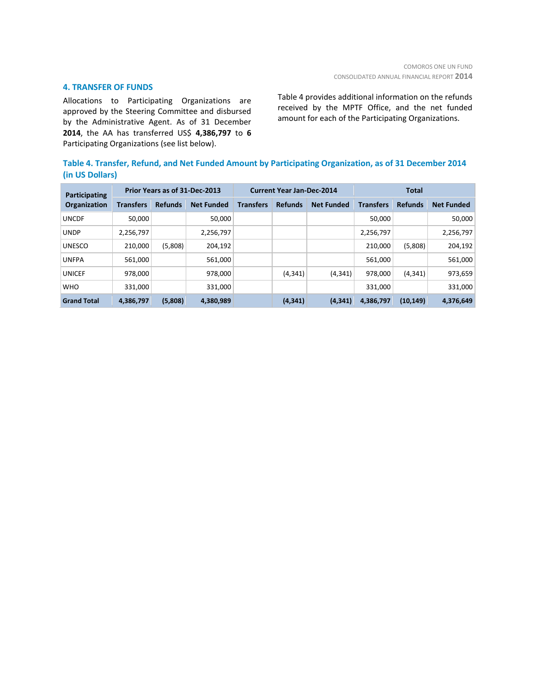### **4. TRANSFER OF FUNDS**

Allocations to Participating Organizations are approved by the Steering Committee and disbursed by the Administrative Agent. As of 31 December **2014**, the AA has transferred US\$ **4,386,797** to **6** Participating Organizations (see list below).

Table 4 provides additional information on the refunds received by the MPTF Office, and the net funded amount for each of the Participating Organizations.

|                 | Table 4. Transfer, Refund, and Net Funded Amount by Participating Organization, as of 31 December 2014 |  |
|-----------------|--------------------------------------------------------------------------------------------------------|--|
| (in US Dollars) |                                                                                                        |  |

| Prior Years as of 31-Dec-2013<br>Participating |                  | <b>Current Year Jan-Dec-2014</b> |                   |                  | <b>Total</b>   |                   |                  |                |                   |
|------------------------------------------------|------------------|----------------------------------|-------------------|------------------|----------------|-------------------|------------------|----------------|-------------------|
| <b>Organization</b>                            | <b>Transfers</b> | <b>Refunds</b>                   | <b>Net Funded</b> | <b>Transfers</b> | <b>Refunds</b> | <b>Net Funded</b> | <b>Transfers</b> | <b>Refunds</b> | <b>Net Funded</b> |
| <b>UNCDF</b>                                   | 50,000           |                                  | 50,000            |                  |                |                   | 50,000           |                | 50,000            |
| <b>UNDP</b>                                    | 2,256,797        |                                  | 2,256,797         |                  |                |                   | 2,256,797        |                | 2,256,797         |
| <b>UNESCO</b>                                  | 210,000          | (5,808)                          | 204,192           |                  |                |                   | 210,000          | (5,808)        | 204,192           |
| <b>UNFPA</b>                                   | 561,000          |                                  | 561,000           |                  |                |                   | 561,000          |                | 561,000           |
| <b>UNICEF</b>                                  | 978,000          |                                  | 978,000           |                  | (4, 341)       | (4, 341)          | 978,000          | (4, 341)       | 973,659           |
| <b>WHO</b>                                     | 331,000          |                                  | 331,000           |                  |                |                   | 331,000          |                | 331,000           |
| <b>Grand Total</b>                             | 4,386,797        | (5,808)                          | 4,380,989         |                  | (4, 341)       | (4, 341)          | 4,386,797        | (10, 149)      | 4,376,649         |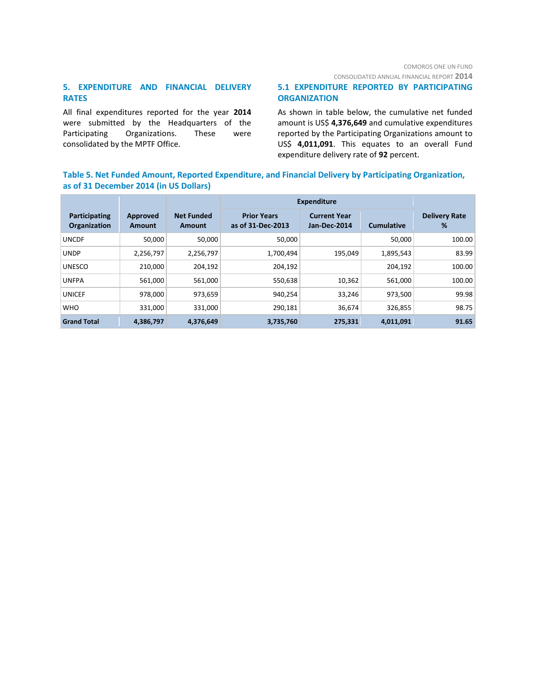CONSOLIDATED ANNUAL FINANCIAL REPORT **2014**

# **5. EXPENDITURE AND FINANCIAL DELIVERY RATES**

All final expenditures reported for the year **2014** were submitted by the Headquarters of the Participating Organizations. These were consolidated by the MPTF Office.

# **5.1 EXPENDITURE REPORTED BY PARTICIPATING ORGANIZATION**

As shown in table below, the cumulative net funded amount is US\$ **4,376,649** and cumulative expenditures reported by the Participating Organizations amount to US\$ **4,011,091**. This equates to an overall Fund expenditure delivery rate of **92** percent.

# **Table 5. Net Funded Amount, Reported Expenditure, and Financial Delivery by Participating Organization, as of 31 December 2014 (in US Dollars)**

|                                      |                    |                             | <b>Expenditure</b>                      |                                     |                   |                           |
|--------------------------------------|--------------------|-----------------------------|-----------------------------------------|-------------------------------------|-------------------|---------------------------|
| Participating<br><b>Organization</b> | Approved<br>Amount | <b>Net Funded</b><br>Amount | <b>Prior Years</b><br>as of 31-Dec-2013 | <b>Current Year</b><br>Jan-Dec-2014 | <b>Cumulative</b> | <b>Delivery Rate</b><br>% |
| <b>UNCDF</b>                         | 50.000             | 50,000                      | 50,000                                  |                                     | 50,000            | 100.00                    |
| <b>UNDP</b>                          | 2,256,797          | 2,256,797                   | 1,700,494                               | 195,049                             | 1,895,543         | 83.99                     |
| <b>UNESCO</b>                        | 210,000            | 204,192                     | 204,192                                 |                                     | 204,192           | 100.00                    |
| <b>UNFPA</b>                         | 561,000            | 561,000                     | 550,638                                 | 10,362                              | 561,000           | 100.00                    |
| <b>UNICEF</b>                        | 978.000            | 973,659                     | 940,254                                 | 33,246                              | 973.500           | 99.98                     |
| <b>WHO</b>                           | 331,000            | 331,000                     | 290,181                                 | 36,674                              | 326,855           | 98.75                     |
| <b>Grand Total</b>                   | 4,386,797          | 4,376,649                   | 3,735,760                               | 275,331                             | 4,011,091         | 91.65                     |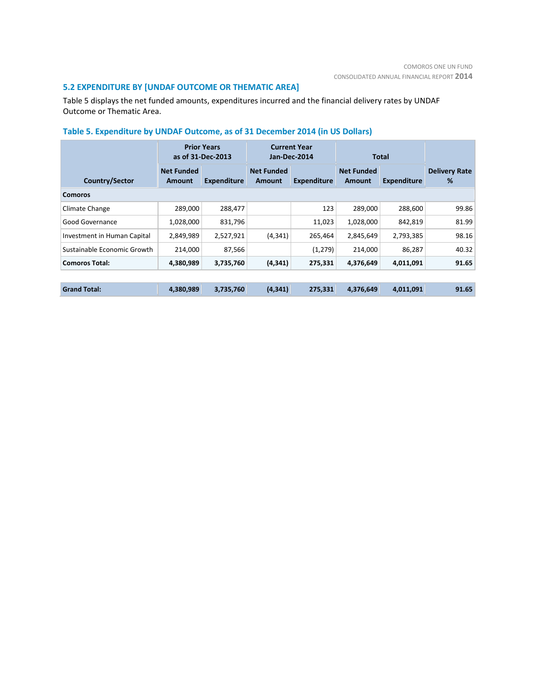# **5.2 EXPENDITURE BY [UNDAF OUTCOME OR THEMATIC AREA]**

Table 5 displays the net funded amounts, expenditures incurred and the financial delivery rates by UNDAF Outcome or Thematic Area.

# **Table 5. Expenditure by UNDAF Outcome, as of 31 December 2014 (in US Dollars)**

|                             | <b>Prior Years</b><br>as of 31-Dec-2013 | <b>Current Year</b><br>Total<br>Jan-Dec-2014 |                             |                    |                                                   |           |                           |  |  |
|-----------------------------|-----------------------------------------|----------------------------------------------|-----------------------------|--------------------|---------------------------------------------------|-----------|---------------------------|--|--|
| Country/Sector              | <b>Net Funded</b><br>Amount             | <b>Expenditure</b>                           | <b>Net Funded</b><br>Amount | <b>Expenditure</b> | <b>Net Funded</b><br><b>Expenditure</b><br>Amount |           | <b>Delivery Rate</b><br>% |  |  |
| Comoros                     |                                         |                                              |                             |                    |                                                   |           |                           |  |  |
| Climate Change              | 289,000                                 | 288,477                                      |                             | 123                | 289,000                                           | 288,600   | 99.86                     |  |  |
| Good Governance             | 1,028,000                               | 831,796                                      |                             | 11,023             | 1,028,000                                         | 842.819   | 81.99                     |  |  |
| Investment in Human Capital | 2,849,989                               | 2,527,921                                    | (4, 341)                    | 265,464            | 2,845,649                                         | 2,793,385 | 98.16                     |  |  |
| Sustainable Economic Growth | 214,000                                 | 87,566                                       |                             | (1,279)            | 214,000                                           | 86,287    | 40.32                     |  |  |
| <b>Comoros Total:</b>       | 4,380,989                               | 3,735,760                                    | (4, 341)                    | 275,331            | 4,376,649                                         | 4,011,091 | 91.65                     |  |  |
|                             |                                         |                                              |                             |                    |                                                   |           |                           |  |  |
| <b>Grand Total:</b>         | 4,380,989                               | 3,735,760                                    | (4, 341)                    | 275,331            | 4,376,649                                         | 4,011,091 | 91.65                     |  |  |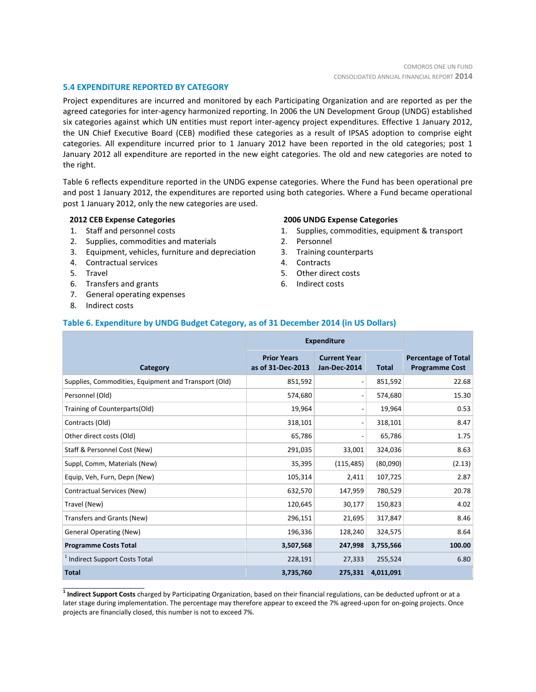#### **5.4 EXPENDITURE REPORTED BY CATEGORY**

Project expenditures are incurred and monitored by each Participating Organization and are reported as per the agreed categories for inter-agency harmonized reporting. In 2006 the UN Development Group (UNDG) established six categories against which UN entities must report inter-agency project expenditures. Effective 1 January 2012, the UN Chief Executive Board (CEB) modified these categories as a result of IPSAS adoption to comprise eight categories. All expenditure incurred prior to 1 January 2012 have been reported in the old categories; post 1 January 2012 all expenditure are reported in the new eight categories. The old and new categories are noted to the right.

Table 6 reflects expenditure reported in the UNDG expense categories. Where the Fund has been operational pre and post 1 January 2012, the expenditures are reported using both categories. Where a Fund became operational post 1 January 2012, only the new categories are used.

#### **2012 CEB Expense Categories**

- 1. Staff and personnel costs
- 2. Supplies, commodities and materials
- 3. Equipment, vehicles, furniture and depreciation
- 4. Contractual services
- 5. Travel
- 6. Transfers and grants
- 7. General operating expenses
- 8. Indirect costs

\_\_\_\_\_\_\_\_\_\_\_\_\_\_\_\_\_\_\_\_\_\_

#### **2006 UNDG Expense Categories**

- 1. Supplies, commodities, equipment & transport
- 2. Personnel
- 3. Training counterparts
- 4. Contracts
- 5. Other direct costs
- 6. Indirect costs

### **Table 6. Expenditure by UNDG Budget Category, as of 31 December 2014 (in US Dollars)**

|                                                      | <b>Expenditure</b>                      |                                     |              |                                                     |
|------------------------------------------------------|-----------------------------------------|-------------------------------------|--------------|-----------------------------------------------------|
| <b>Category</b>                                      | <b>Prior Years</b><br>as of 31-Dec-2013 | <b>Current Year</b><br>Jan-Dec-2014 | <b>Total</b> | <b>Percentage of Total</b><br><b>Programme Cost</b> |
| Supplies, Commodities, Equipment and Transport (Old) | 851,592                                 | $\overline{\phantom{a}}$            | 851,592      | 22.68                                               |
| Personnel (Old)                                      | 574,680                                 | $\overline{\phantom{a}}$            | 574,680      | 15.30                                               |
| Training of Counterparts(Old)                        | 19,964                                  | $\overline{\phantom{a}}$            | 19,964       | 0.53                                                |
| Contracts (Old)                                      | 318,101                                 | $\qquad \qquad \blacksquare$        | 318,101      | 8.47                                                |
| Other direct costs (Old)                             | 65,786                                  | -                                   | 65,786       | 1.75                                                |
| Staff & Personnel Cost (New)                         | 291,035                                 | 33,001                              | 324,036      | 8.63                                                |
| Suppl, Comm, Materials (New)                         | 35,395                                  | (115, 485)                          | (80,090)     | (2.13)                                              |
| Equip, Veh, Furn, Depn (New)                         | 105,314                                 | 2,411                               | 107,725      | 2.87                                                |
| Contractual Services (New)                           | 632,570                                 | 147,959                             | 780,529      | 20.78                                               |
| Travel (New)                                         | 120,645                                 | 30,177                              | 150,823      | 4.02                                                |
| Transfers and Grants (New)                           | 296,151                                 | 21,695                              | 317,847      | 8.46                                                |
| <b>General Operating (New)</b>                       | 196,336                                 | 128,240                             | 324,575      | 8.64                                                |
| <b>Programme Costs Total</b>                         | 3,507,568                               | 247,998                             | 3,755,566    | 100.00                                              |
| <sup>1</sup> Indirect Support Costs Total            | 228,191                                 | 27,333                              | 255,524      | 6.80                                                |
| <b>Total</b>                                         | 3,735,760                               | 275,331                             | 4,011,091    |                                                     |

**1 Indirect Support Costs** charged by Participating Organization, based on their financial regulations, can be deducted upfront or at a later stage during implementation. The percentage may therefore appear to exceed the 7% agreed-upon for on-going projects. Once projects are financially closed, this number is not to exceed 7%.